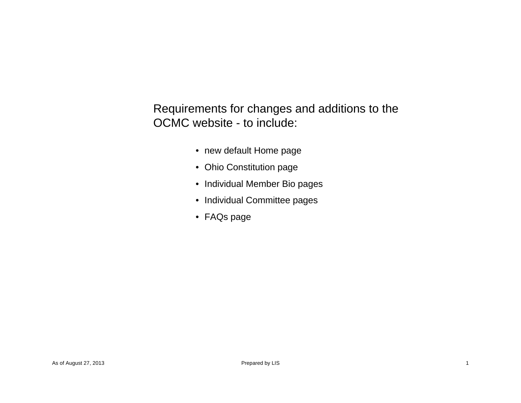Requirements for changes and additions to the OCMC website - to include:

- new default Home page
- Ohio Constitution page
- Individual Member Bio pages
- Individual Committee pages
- FAQs page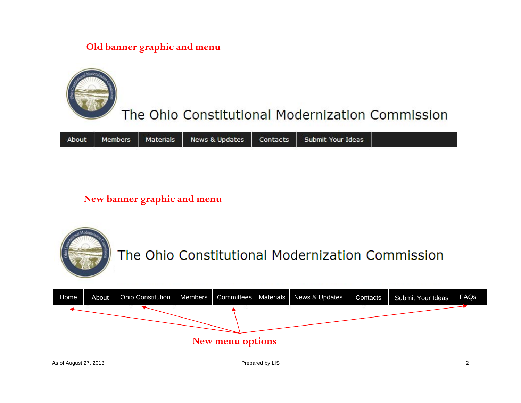# **Old banner graphic and menu**



# The Ohio Constitutional Modernization Commission

|  |  |  |  |  | About   Members   Materials   News & Updates   Contacts   Submit Your Ideas |  |
|--|--|--|--|--|-----------------------------------------------------------------------------|--|
|--|--|--|--|--|-----------------------------------------------------------------------------|--|

# **New banner graphic and menu**



**New menu options**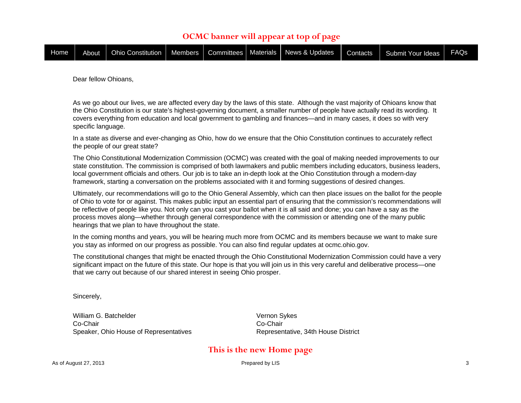# **OCMC banner will appear at top of page**

| Home <b>T</b> |  | About   Ohio Constitution   Members   Committees   Materials   News & Updates |  |  |  |  | Contacts | Submit Your Ideas | <b>FAQs</b> |
|---------------|--|-------------------------------------------------------------------------------|--|--|--|--|----------|-------------------|-------------|
|---------------|--|-------------------------------------------------------------------------------|--|--|--|--|----------|-------------------|-------------|

Dear fellow Ohioans,

As we go about our lives, we are affected every day by the laws of this state. Although the vast majority of Ohioans know that the Ohio Constitution is our state's highest-governing document, a smaller number of people have actually read its wording. It covers everything from education and local government to gambling and finances—and in many cases, it does so with very specific language.

In a state as diverse and ever-changing as Ohio, how do we ensure that the Ohio Constitution continues to accurately reflect the people of our great state?

The Ohio Constitutional Modernization Commission (OCMC) was created with the goal of making needed improvements to our state constitution. The commission is comprised of both lawmakers and public members including educators, business leaders, local government officials and others. Our job is to take an in-depth look at the Ohio Constitution through a modern-day framework, starting a conversation on the problems associated with it and forming suggestions of desired changes.

Ultimately, our recommendations will go to the Ohio General Assembly, which can then place issues on the ballot for the people of Ohio to vote for or against. This makes public input an essential part of ensuring that the commission's recommendations will be reflective of people like you. Not only can you cast your ballot when it is all said and done; you can have a say as the process moves along—whether through general correspondence with the commission or attending one of the many public hearings that we plan to have throughout the state.

In the coming months and years, you will be hearing much more from OCMC and its members because we want to make sure you stay as informed on our progress as possible. You can also find regular updates at ocmc.ohio.gov.

The constitutional changes that might be enacted through the Ohio Constitutional Modernization Commission could have a very significant impact on the future of this state. Our hope is that you will join us in this very careful and deliberative process—one that we carry out because of our shared interest in seeing Ohio prosper.

Sincerely,

William G. BatchelderCo-ChairSpeaker, Ohio House of Representatives Vernon Sykes Co-ChairRepresentative, 34th House District

# **This is the new Home page**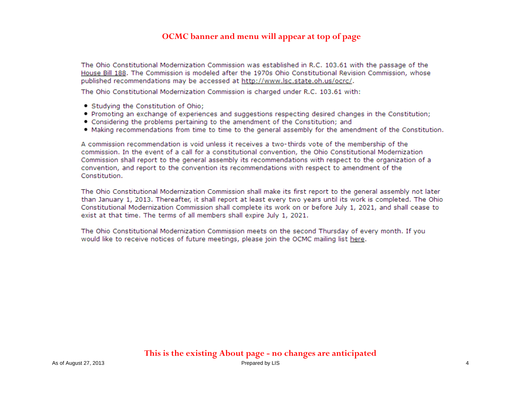The Ohio Constitutional Modernization Commission was established in R.C. 103.61 with the passage of the House Bill 188. The Commission is modeled after the 1970s Ohio Constitutional Revision Commission, whose published recommendations may be accessed at http://www.lsc.state.oh.us/ocrc/.

The Ohio Constitutional Modernization Commission is charged under R.C. 103.61 with:

- Studving the Constitution of Ohio;
- . Promoting an exchange of experiences and suggestions respecting desired changes in the Constitution;
- Considering the problems pertaining to the amendment of the Constitution; and
- Making recommendations from time to time to the general assembly for the amendment of the Constitution.

A commission recommendation is void unless it receives a two-thirds vote of the membership of the commission. In the event of a call for a constitutional convention, the Ohio Constitutional Modernization Commission shall report to the general assembly its recommendations with respect to the organization of a convention, and report to the convention its recommendations with respect to amendment of the Constitution.

The Ohio Constitutional Modernization Commission shall make its first report to the general assembly not later than January 1, 2013. Thereafter, it shall report at least every two years until its work is completed. The Ohio Constitutional Modernization Commission shall complete its work on or before July 1, 2021, and shall cease to exist at that time. The terms of all members shall expire July 1, 2021.

The Ohio Constitutional Modernization Commission meets on the second Thursday of every month. If you would like to receive notices of future meetings, please join the OCMC mailing list here.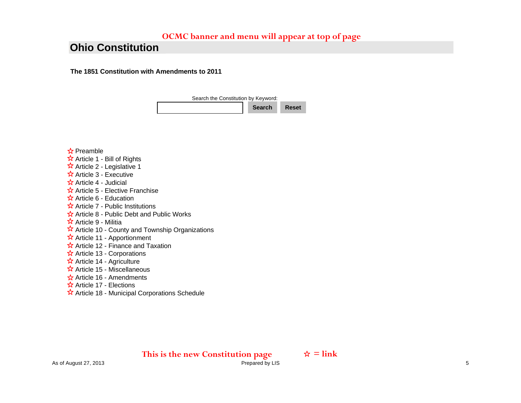# **Ohio Constitution**

**The 1851 Constitution with Amendments to 2011** 



#### ☆ Preamble

- Article 1 Bill of Rights
- $\overrightarrow{X}$  Article 2 Legislative 1
- $\overleftrightarrow{\mathbf{x}}$  Article 3 Executive
- Article 4 Judicial
- $\hat{X}$  Article 5 Elective Franchise
- $\hat{X}$  Article 6 Education
- $\hat{\mathbf{x}}$  Article 7 Public Institutions
- $\hat{\mathbf{x}}$  Article 8 Public Debt and Public Works
- Article 9 Militia
- $\overrightarrow{x}$  Article 10 County and Township Organizations
- $\hat{\mathbf{x}}$  Article 11 Apportionment
- $\hat{\mathbf{x}}$  Article 12 Finance and Taxation
- $\hat{x}$  Article 13 Corporations
- $\hat{\mathbf{x}}$  Article 14 Agriculture
- $\hat{X}$  Article 15 Miscellaneous
- $\frac{1}{2}$  Article 16 Amendments
- Article 17 Elections
- $\hat{\mathbf{x}}$  Article 18 Municipal Corporations Schedule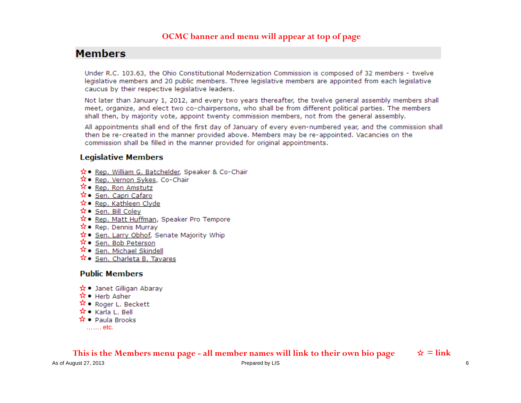# **Members**

Under R.C. 103.63, the Ohio Constitutional Modernization Commission is composed of 32 members - twelve legislative members and 20 public members. Three legislative members are appointed from each legislative caucus by their respective legislative leaders.

Not later than January 1, 2012, and every two years thereafter, the twelve general assembly members shall meet, organize, and elect two co-chairpersons, who shall be from different political parties. The members shall then, by majority vote, appoint twenty commission members, not from the general assembly.

All appointments shall end of the first day of January of every even-numbered year, and the commission shall then be re-created in the manner provided above. Members may be re-appointed. Vacancies on the commission shall be filled in the manner provided for original appointments.

### **Legislative Members**

- ☆● Rep. William G. Batchelder, Speaker & Co-Chair
- ☆ Rep. Vernon Sykes, Co-Chair
- $\hat{X}$  Rep. Ron Amstutz
- ☆● Sen. Capri Cafaro
- ☆ Rep. Kathleen Clyde
- ☆ Sen. Bill Colev
- ☆ Rep. Matt Huffman, Speaker Pro Tempore
- ☆ Rep. Dennis Murrav
- ☆● Sen. Larry Obhof, Senate Majority Whip
- ☆ Sen. Bob Peterson
- $\hat{X}$  Sen. Michael Skindell
- $\hat{\mathbf{x}}$  Sen. Charleta B. Tavares

# **Public Members**

- ☆ Janet Gilligan Abaray
- $\hat{\mathsf{x}}$  Herb Asher
- $\hat{X}$  Roger L. Beckett
- $\mathbf{\hat{x}} \bullet \mathbf{K}$ arla L. Bell
- $\hat{\mathbf{x}}$  Paula Brooks
	- ……. etc.

This is the Members menu page - all member names will link to their own bio page  $\Rightarrow \hat{z} = \text{link}$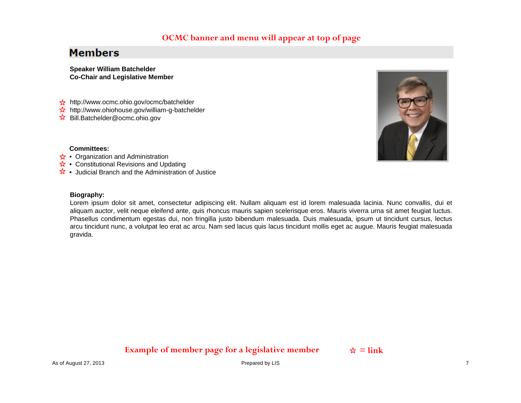# **Members**

**Speaker William Batchelder Co-Chair and Legislative Member**

- **☆** http://www.ocmc.ohio.gov/ocmc/batchelder
- ☆ http://www.ohiohouse.gov/william-g-batchelder
- Bill.Batchelder@ocmc.ohio.gov



#### **Committees:**

- Organization and Administration
- Constitutional Revisions and Updating
- Judicial Branch and the Administration of Justice

#### **Biography:**

Lorem ipsum dolor sit amet, consectetur adipiscing elit. Nullam aliquam est id lorem malesuada lacinia. Nunc convallis, dui et aliquam auctor, velit neque eleifend ante, quis rhoncus mauris sapien scelerisque eros. Mauris viverra urna sit amet feugiat luctus. Phasellus condimentum egestas dui, non fringilla justo bibendum malesuada. Duis malesuada, ipsum ut tincidunt cursus, lectus arcu tincidunt nunc, a volutpat leo erat ac arcu. Nam sed lacus quis lacus tincidunt mollis eget ac augue. Mauris feugiat malesuada gravida.

# **Example of member page for a legislative member**  $\phi = \text{link}$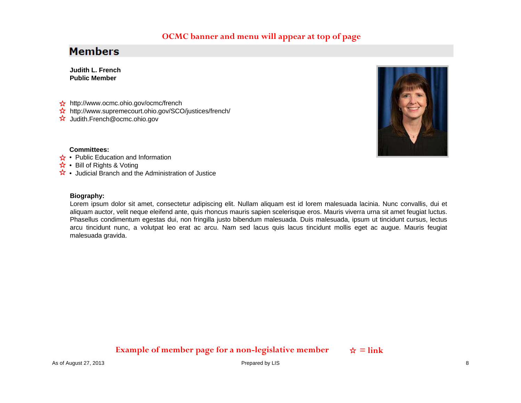# **Members**

**Judith L. FrenchPublic Member**

- ☆ http://www.ocmc.ohio.gov/ocmc/french
- $\overleftrightarrow{\mathbf{x}}$  http://www.supremecourt.ohio.gov/SCO/justices/french/
- Judith.French@ocmc.ohio.gov



#### **Committees:**

- Public Education and Information
- Bill of Rights & Voting
- Judicial Branch and the Administration of Justice

#### **Biography:**

Lorem ipsum dolor sit amet, consectetur adipiscing elit. Nullam aliquam est id lorem malesuada lacinia. Nunc convallis, dui et aliquam auctor, velit neque eleifend ante, quis rhoncus mauris sapien scelerisque eros. Mauris viverra urna sit amet feugiat luctus. Phasellus condimentum egestas dui, non fringilla justo bibendum malesuada. Duis malesuada, ipsum ut tincidunt cursus, lectus arcu tincidunt nunc, a volutpat leo erat ac arcu. Nam sed lacus quis lacus tincidunt mollis eget ac augue. Mauris feugiat malesuada gravida.

# **Example of member page for a non-legislative member**  $\qquad \star = \text{link}$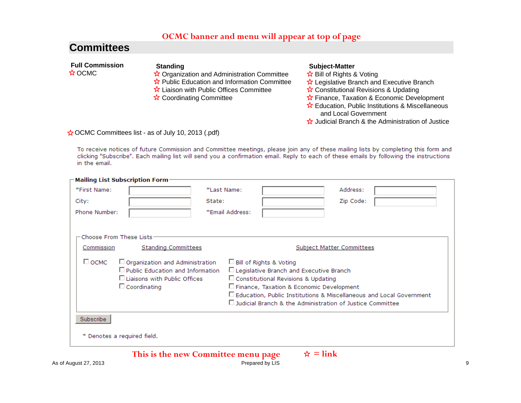# **Committees**

| <b>Full Commission</b><br>$\frac{1}{N}$ OCMC | <b>Standing</b><br>$\hat{\mathbf{x}}$ Organization and Administration Committee<br>$\hat{\mathbf{x}}$ Public Education and Information Committee<br>$\hat{\mathbf{x}}$ Liaison with Public Offices Committee<br>☆ Coordinating Committee | <b>Subject-Matter</b><br>$\hat{\mathbf{x}}$ Bill of Rights & Voting<br>$\hat{\mathbf{x}}$ Legislative Branch and Executive Branch<br>$\hat{\mathbf{x}}$ Constitutional Revisions & Updating<br>$\hat{\mathbf{x}}$ Finance, Taxation & Economic Development<br>$\hat{\mathbf{x}}$ Education, Public Institutions & Miscellaneous<br>and Local Government |
|----------------------------------------------|------------------------------------------------------------------------------------------------------------------------------------------------------------------------------------------------------------------------------------------|---------------------------------------------------------------------------------------------------------------------------------------------------------------------------------------------------------------------------------------------------------------------------------------------------------------------------------------------------------|
|                                              |                                                                                                                                                                                                                                          | $\frac{1}{\sqrt{2}}$ Judicial Branch & the Administration of Justice                                                                                                                                                                                                                                                                                    |

#### $\star$  OCMC Committees list - as of July 10, 2013 (.pdf)

To receive notices of future Commission and Committee meetings, please join any of these mailing lists by completing this form and clicking "Subscribe". Each mailing list will send you a confirmation email. Reply to each of these emails by following the instructions in the email.

| *First Name:             |                                                                                                                                                    | *Last Name:     |                                                                              | Address:                                                                                                                                                                                                                                  |  |
|--------------------------|----------------------------------------------------------------------------------------------------------------------------------------------------|-----------------|------------------------------------------------------------------------------|-------------------------------------------------------------------------------------------------------------------------------------------------------------------------------------------------------------------------------------------|--|
| City:                    |                                                                                                                                                    | State:          |                                                                              | Zip Code:                                                                                                                                                                                                                                 |  |
| Phone Number:            |                                                                                                                                                    | *Email Address: |                                                                              |                                                                                                                                                                                                                                           |  |
| Choose From These Lists- |                                                                                                                                                    |                 |                                                                              |                                                                                                                                                                                                                                           |  |
| Commission               | <b>Standing Committees</b>                                                                                                                         |                 |                                                                              | <b>Subject Matter Committees</b>                                                                                                                                                                                                          |  |
| □ осмс                   | $\Box$ Organization and Administration<br>$\Box$ Public Education and Information<br>$\square$ Liaisons with Public Offices<br>$\Box$ Coordinating |                 | $\Box$ Bill of Rights & Voting<br>$\Box$ Constitutional Revisions & Updating | □ Legislative Branch and Executive Branch<br>□ Finance, Taxation & Economic Development<br>$\Box$ Education, Public Institutions & Miscellaneous and Local Government<br>$\Box$ Judicial Branch & the Administration of Justice Committee |  |
| Subscribe                |                                                                                                                                                    |                 |                                                                              |                                                                                                                                                                                                                                           |  |
|                          | * Denotes a required field.                                                                                                                        |                 |                                                                              |                                                                                                                                                                                                                                           |  |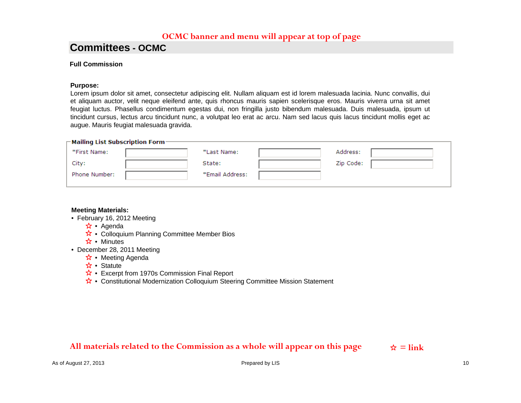# **Committees - OCMC**

#### **Full Commission**

#### **Purpose:**

Lorem ipsum dolor sit amet, consectetur adipiscing elit. Nullam aliquam est id lorem malesuada lacinia. Nunc convallis, dui et aliquam auctor, velit neque eleifend ante, quis rhoncus mauris sapien scelerisque eros. Mauris viverra urna sit amet feugiat luctus. Phasellus condimentum egestas dui, non fringilla justo bibendum malesuada. Duis malesuada, ipsum ut tincidunt cursus, lectus arcu tincidunt nunc, a volutpat leo erat ac arcu. Nam sed lacus quis lacus tincidunt mollis eget ac augue. Mauris feugiat malesuada gravida.

| $\mathop{\rule{0pt}{0.5ex}\hbox{--}}$ Mailing List Subscription Form $\mathop{\rule{0pt}{0.5ex}\hbox{--}}$ |  |                 |  |           |  |  |
|------------------------------------------------------------------------------------------------------------|--|-----------------|--|-----------|--|--|
| *First Name:                                                                                               |  | *Last Name:     |  | Address:  |  |  |
| City:                                                                                                      |  | State:          |  | Zip Code: |  |  |
| Phone Number:                                                                                              |  | *Email Address: |  |           |  |  |
|                                                                                                            |  |                 |  |           |  |  |

#### **Meeting Materials:**

- February 16, 2012 Meeting
	- Agenda
	- Colloquium Planning Committee Member Bios
	- Minutes
- December 28, 2011 Meeting
	- Meeting Agenda
	- Statute
	- Excerpt from 1970s Commission Final Report
	- Constitutional Modernization Colloquium Steering Committee Mission Statement

# All materials related to the Commission as a whole will appear on this page  $\frac{1}{x}$  = link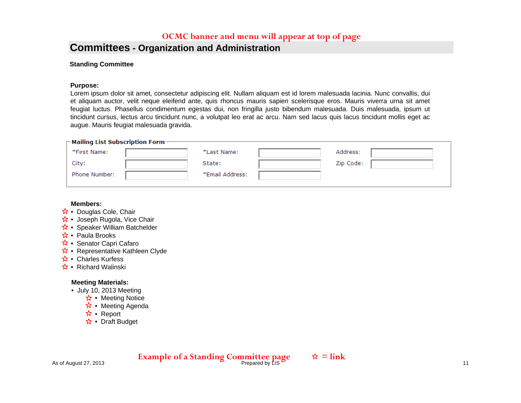# **Committees - Organization and Administration**

#### **Standing Committee**

#### **Purpose:**

Lorem ipsum dolor sit amet, consectetur adipiscing elit. Nullam aliquam est id lorem malesuada lacinia. Nunc convallis, dui et aliquam auctor, velit neque eleifend ante, quis rhoncus mauris sapien scelerisque eros. Mauris viverra urna sit amet feugiat luctus. Phasellus condimentum egestas dui, non fringilla justo bibendum malesuada. Duis malesuada, ipsum ut tincidunt cursus, lectus arcu tincidunt nunc, a volutpat leo erat ac arcu. Nam sed lacus quis lacus tincidunt mollis eget ac augue. Mauris feugiat malesuada gravida.

| $\sqsubset$ Mailing List Subscription Form- |  |                 |  |           |  |  |  |
|---------------------------------------------|--|-----------------|--|-----------|--|--|--|
| *First Name:                                |  | *Last Name:     |  | Address:  |  |  |  |
| City:                                       |  | State:          |  | Zip Code: |  |  |  |
| Phone Number:                               |  | *Email Address: |  |           |  |  |  |
|                                             |  |                 |  |           |  |  |  |

#### **Members:**

- Douglas Cole, Chair
- Joseph Rugola, Vice Chair
- Speaker William Batchelder
- Paula Brooks
- Senator Capri Cafaro
- Representative Kathleen Clyde
- Charles Kurfess
- Richard Walinski

#### **Meeting Materials:**

- July 10, 2013 Meeting
	- Meeting Notice
	- Meeting Agenda
	- Report
	- Draft Budget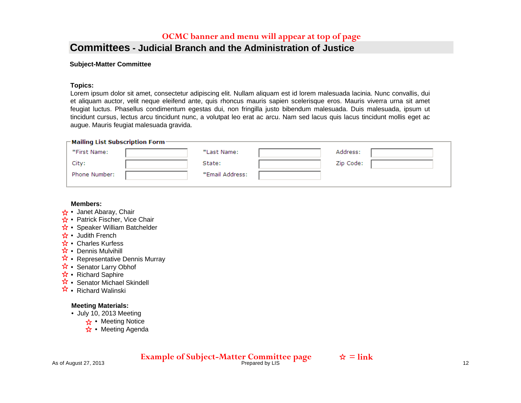### **Committees - Judicial Branch and the Administration of Justice**

#### **Subject-Matter Committee**

#### **Topics:**

Lorem ipsum dolor sit amet, consectetur adipiscing elit. Nullam aliquam est id lorem malesuada lacinia. Nunc convallis, dui et aliquam auctor, velit neque eleifend ante, quis rhoncus mauris sapien scelerisque eros. Mauris viverra urna sit amet feugiat luctus. Phasellus condimentum egestas dui, non fringilla justo bibendum malesuada. Duis malesuada, ipsum ut tincidunt cursus, lectus arcu tincidunt nunc, a volutpat leo erat ac arcu. Nam sed lacus quis lacus tincidunt mollis eget ac augue. Mauris feugiat malesuada gravida.

| $\sqsubset$ Mailing List Subscription Form- |  |                 |  |           |  |  |  |
|---------------------------------------------|--|-----------------|--|-----------|--|--|--|
| *First Name:                                |  | *Last Name:     |  | Address:  |  |  |  |
| City:                                       |  | State:          |  | Zip Code: |  |  |  |
| Phone Number:                               |  | *Email Address: |  |           |  |  |  |
|                                             |  |                 |  |           |  |  |  |

#### **Members:**

- Janet Abaray, Chair
- Patrick Fischer, Vice Chair
- Speaker William Batchelder
- Judith French
- Charles Kurfess
- Dennis Mulvihill
- Representative Dennis Murray
- Senator Larry Obhof
- Richard Saphire
- Senator Michael Skindell
- Richard Walinski

#### **Meeting Materials:**

- July 10, 2013 Meeting
	- Meeting Notice
	- Meeting Agenda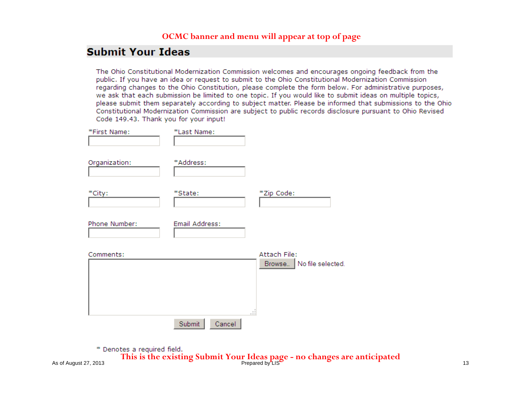# **Submit Your Ideas**

The Ohio Constitutional Modernization Commission welcomes and encourages ongoing feedback from the public. If you have an idea or request to submit to the Ohio Constitutional Modernization Commission regarding changes to the Ohio Constitution, please complete the form below. For administrative purposes, we ask that each submission be limited to one topic. If you would like to submit ideas on multiple topics, please submit them separately according to subject matter. Please be informed that submissions to the Ohio Constitutional Modernization Commission are subject to public records disclosure pursuant to Ohio Revised Code 149.43. Thank you for your input!

| *First Name:  | *Last Name:      |                                              |
|---------------|------------------|----------------------------------------------|
| Organization: | *Address:        |                                              |
| *City:        | *State:          | *Zip Code:                                   |
| Phone Number: | Email Address:   |                                              |
| Comments:     |                  | Attach File:<br>No file selected.<br>Browse. |
|               | Submit<br>Cancel | $-22$                                        |

\* Denotes a required field.

As of August 27, 2013 Prepared by LIS 13 **This is the existing Submit Your Ideas page - no changes are anticipated**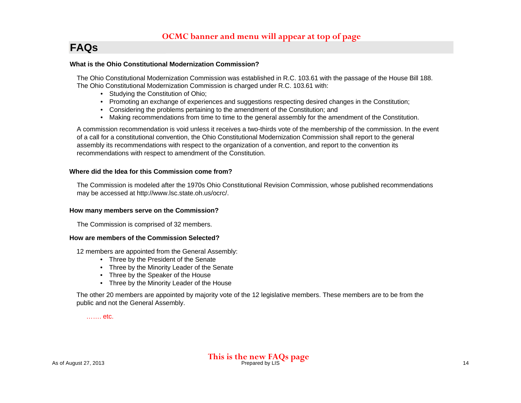# **FAQs**

#### **What is the Ohio Constitutional Modernization Commission?**

The Ohio Constitutional Modernization Commission was established in R.C. 103.61 with the passage of the House Bill 188. The Ohio Constitutional Modernization Commission is charged under R.C. 103.61 with:

- Studying the Constitution of Ohio;
- Promoting an exchange of experiences and suggestions respecting desired changes in the Constitution;
- Considering the problems pertaining to the amendment of the Constitution; and
- Making recommendations from time to time to the general assembly for the amendment of the Constitution.

A commission recommendation is void unless it receives a two-thirds vote of the membership of the commission. In the event of a call for a constitutional convention, the Ohio Constitutional Modernization Commission shall report to the general assembly its recommendations with respect to the organization of a convention, and report to the convention its recommendations with respect to amendment of the Constitution.

#### **Where did the Idea for this Commission come from?**

The Commission is modeled after the 1970s Ohio Constitutional Revision Commission, whose published recommendations may be accessed at http://www.lsc.state.oh.us/ocrc/.

#### **How many members serve on the Commission?**

The Commission is comprised of 32 members.

#### **How are members of the Commission Selected?**

12 members are appointed from the General Assembly:

- Three by the President of the Senate
- Three by the Minority Leader of the Senate
- Three by the Speaker of the House
- Three by the Minority Leader of the House

The other 20 members are appointed by majority vote of the 12 legislative members. These members are to be from the public and not the General Assembly.

……. etc.